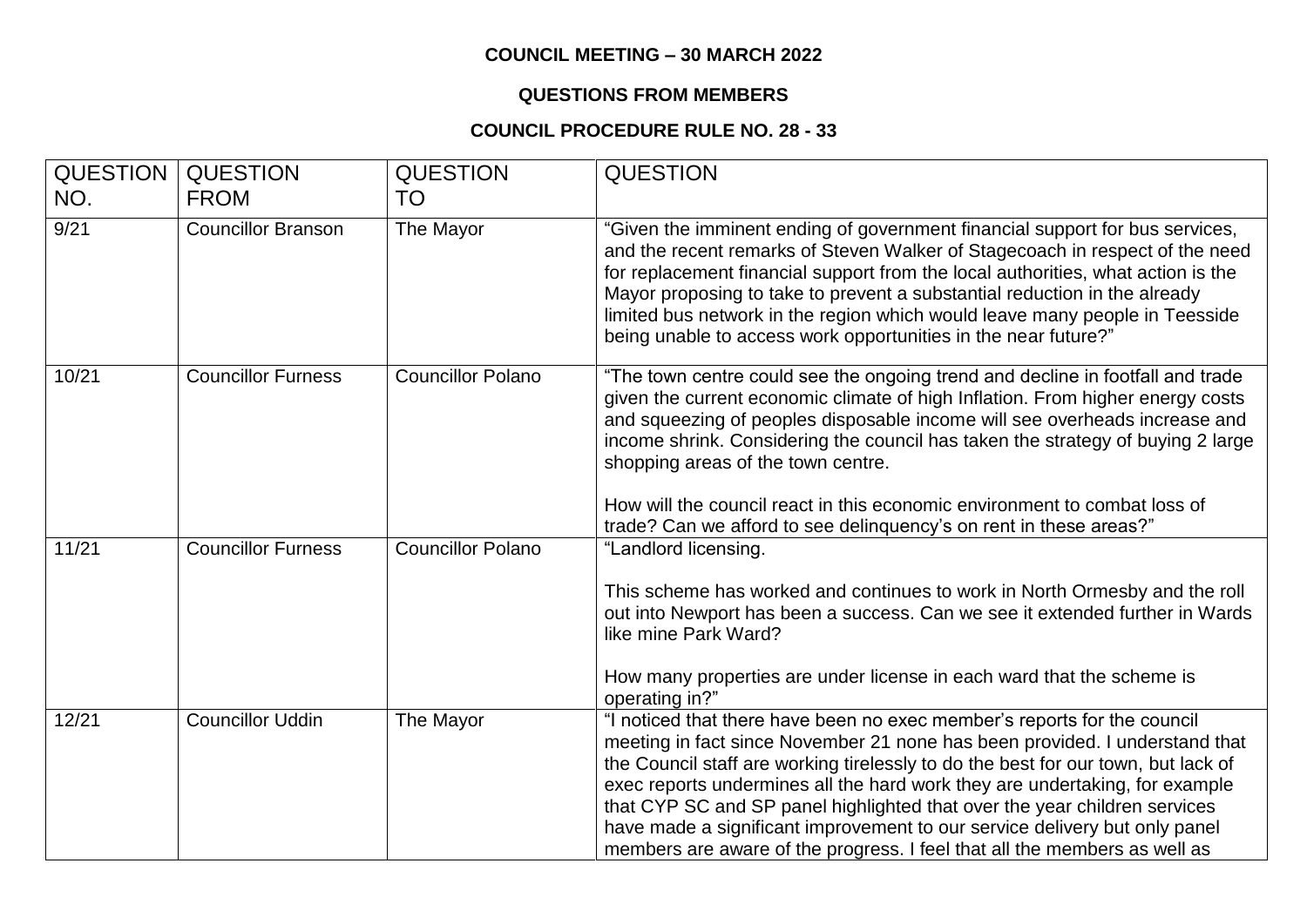## **COUNCIL MEETING – 30 MARCH 2022**

## **QUESTIONS FROM MEMBERS**

## **COUNCIL PROCEDURE RULE NO. 28 - 33**

| <b>QUESTION</b><br>NO. | <b>QUESTION</b><br><b>FROM</b> | <b>QUESTION</b><br>TO    | <b>QUESTION</b>                                                                                                                                                                                                                                                                                                                                                                                                                                                                         |
|------------------------|--------------------------------|--------------------------|-----------------------------------------------------------------------------------------------------------------------------------------------------------------------------------------------------------------------------------------------------------------------------------------------------------------------------------------------------------------------------------------------------------------------------------------------------------------------------------------|
| 9/21                   | <b>Councillor Branson</b>      | The Mayor                | "Given the imminent ending of government financial support for bus services,<br>and the recent remarks of Steven Walker of Stagecoach in respect of the need<br>for replacement financial support from the local authorities, what action is the<br>Mayor proposing to take to prevent a substantial reduction in the already<br>limited bus network in the region which would leave many people in Teesside<br>being unable to access work opportunities in the near future?"          |
| 10/21                  | <b>Councillor Furness</b>      | <b>Councillor Polano</b> | "The town centre could see the ongoing trend and decline in footfall and trade<br>given the current economic climate of high Inflation. From higher energy costs<br>and squeezing of peoples disposable income will see overheads increase and<br>income shrink. Considering the council has taken the strategy of buying 2 large<br>shopping areas of the town centre.<br>How will the council react in this economic environment to combat loss of                                    |
| 11/21                  | <b>Councillor Furness</b>      | <b>Councillor Polano</b> | trade? Can we afford to see delinquency's on rent in these areas?"<br>"Landlord licensing.                                                                                                                                                                                                                                                                                                                                                                                              |
|                        |                                |                          | This scheme has worked and continues to work in North Ormesby and the roll<br>out into Newport has been a success. Can we see it extended further in Wards<br>like mine Park Ward?<br>How many properties are under license in each ward that the scheme is                                                                                                                                                                                                                             |
| 12/21                  | <b>Councillor Uddin</b>        | The Mayor                | operating in?"<br>"I noticed that there have been no exec member's reports for the council                                                                                                                                                                                                                                                                                                                                                                                              |
|                        |                                |                          | meeting in fact since November 21 none has been provided. I understand that<br>the Council staff are working tirelessly to do the best for our town, but lack of<br>exec reports undermines all the hard work they are undertaking, for example<br>that CYP SC and SP panel highlighted that over the year children services<br>have made a significant improvement to our service delivery but only panel<br>members are aware of the progress. I feel that all the members as well as |